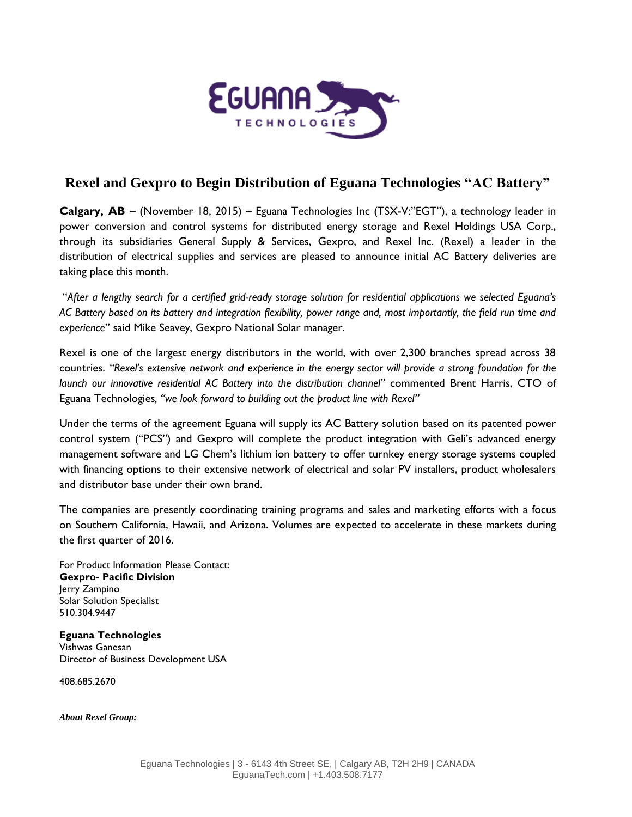

## **Rexel and Gexpro to Begin Distribution of Eguana Technologies "AC Battery"**

**Calgary, AB** – (November 18, 2015) – Eguana Technologies Inc (TSX-V:"EGT"), a technology leader in power conversion and control systems for distributed energy storage and Rexel Holdings USA Corp., through its subsidiaries General Supply & Services, Gexpro, and Rexel Inc. (Rexel) a leader in the distribution of electrical supplies and services are pleased to announce initial AC Battery deliveries are taking place this month.

"*After a lengthy search for a certified grid-ready storage solution for residential applications we selected Eguana's AC Battery based on its battery and integration flexibility, power range and, most importantly, the field run time and experience*" said Mike Seavey, Gexpro National Solar manager.

Rexel is one of the largest energy distributors in the world, with over 2,300 branches spread across 38 countries. *"Rexel's extensive network and experience in the energy sector will provide a strong foundation for the launch our innovative residential AC Battery into the distribution channel"* commented Brent Harris, CTO of Eguana Technologies*, "we look forward to building out the product line with Rexel"*

Under the terms of the agreement Eguana will supply its AC Battery solution based on its patented power control system ("PCS") and Gexpro will complete the product integration with Geli's advanced energy management software and LG Chem's lithium ion battery to offer turnkey energy storage systems coupled with financing options to their extensive network of electrical and solar PV installers, product wholesalers and distributor base under their own brand.

The companies are presently coordinating training programs and sales and marketing efforts with a focus on Southern California, Hawaii, and Arizona. Volumes are expected to accelerate in these markets during the first quarter of 2016.

For Product Information Please Contact: **Gexpro- Pacific Division** Jerry Zampino Solar Solution Specialist 510.304.9447

**Eguana Technologies** Vishwas Ganesan Director of Business Development USA

408.685.2670

*About Rexel Group:*